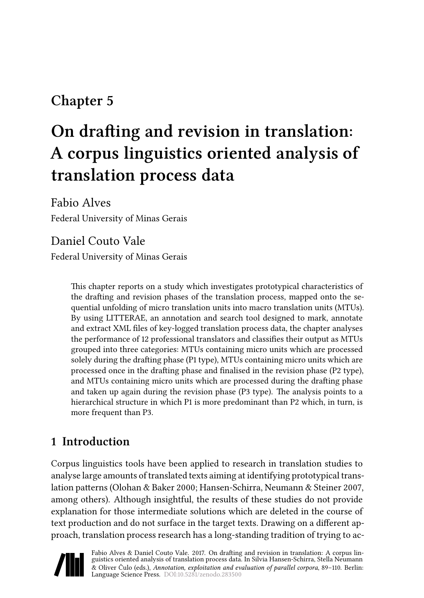# **Chapter 5**

# **On drafting and revision in translation: A corpus linguistics oriented analysis of translation process data**

Fabio Alves Federal University of Minas Gerais

Daniel Couto Vale Federal University of Minas Gerais

> This chapter reports on a study which investigates prototypical characteristics of the drafting and revision phases of the translation process, mapped onto the sequential unfolding of micro translation units into macro translation units (MTUs). By using LITTERAE, an annotation and search tool designed to mark, annotate and extract XML files of key-logged translation process data, the chapter analyses the performance of 12 professional translators and classifies their output as MTUs grouped into three categories: MTUs containing micro units which are processed solely during the drafting phase (P1 type), MTUs containing micro units which are processed once in the drafting phase and finalised in the revision phase (P2 type), and MTUs containing micro units which are processed during the drafting phase and taken up again during the revision phase (P3 type). The analysis points to a hierarchical structure in which P1 is more predominant than P2 which, in turn, is more frequent than P3.

# **1 Introduction**

Corpus linguistics tools have been applied to research in translation studies to analyse large amounts of translated texts aiming at identifying prototypical translation patterns([Olohan & Baker 2000](#page-20-0); [Hansen-Schirra, Neumann & Steiner 2007](#page-20-1), among others). Although insightful, the results of these studies do not provide explanation for those intermediate solutions which are deleted in the course of text production and do not surface in the target texts. Drawing on a different approach, translation process research has a long-standing tradition of trying to ac-

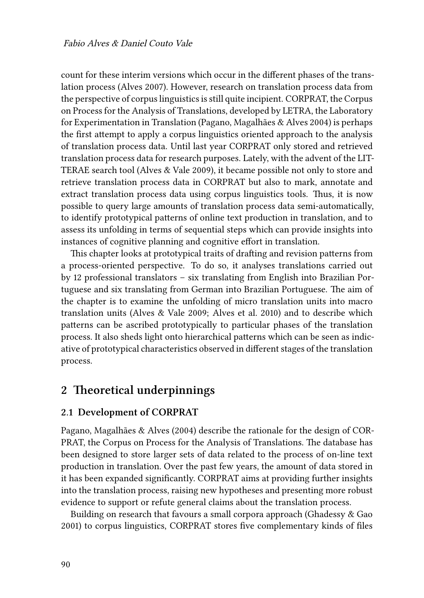count for these interim versions which occur in the different phases of the translation process [\(Alves 2007\)](#page-19-0). However, research on translation process data from the perspective of corpus linguistics is still quite incipient. CORPRAT, the Corpus on Process for the Analysis of Translations, developed by LETRA, the Laboratory for Experimentation in Translation([Pagano, Magalhães & Alves 2004\)](#page-20-2) is perhaps the first attempt to apply a corpus linguistics oriented approach to the analysis of translation process data. Until last year CORPRAT only stored and retrieved translation process data for research purposes. Lately, with the advent of the LIT-TERAE search tool([Alves & Vale 2009\)](#page-19-1), it became possible not only to store and retrieve translation process data in CORPRAT but also to mark, annotate and extract translation process data using corpus linguistics tools. Thus, it is now possible to query large amounts of translation process data semi-automatically, to identify prototypical patterns of online text production in translation, and to assess its unfolding in terms of sequential steps which can provide insights into instances of cognitive planning and cognitive effort in translation.

This chapter looks at prototypical traits of drafting and revision patterns from a process-oriented perspective. To do so, it analyses translations carried out by 12 professional translators – six translating from English into Brazilian Portuguese and six translating from German into Brazilian Portuguese. The aim of the chapter is to examine the unfolding of micro translation units into macro translation units([Alves & Vale 2009](#page-19-1); [Alves et al. 2010](#page-20-3)) and to describe which patterns can be ascribed prototypically to particular phases of the translation process. It also sheds light onto hierarchical patterns which can be seen as indicative of prototypical characteristics observed in different stages of the translation process.

# **2 Theoretical underpinnings**

## **2.1 Development of CORPRAT**

[Pagano, Magalhães & Alves \(2004\)](#page-20-2) describe the rationale for the design of COR-PRAT, the Corpus on Process for the Analysis of Translations. The database has been designed to store larger sets of data related to the process of on-line text production in translation. Over the past few years, the amount of data stored in it has been expanded significantly. CORPRAT aims at providing further insights into the translation process, raising new hypotheses and presenting more robust evidence to support or refute general claims about the translation process.

Building on research that favours a small corpora approach([Ghadessy & Gao](#page-20-4) [2001](#page-20-4)) to corpus linguistics, CORPRAT stores five complementary kinds of files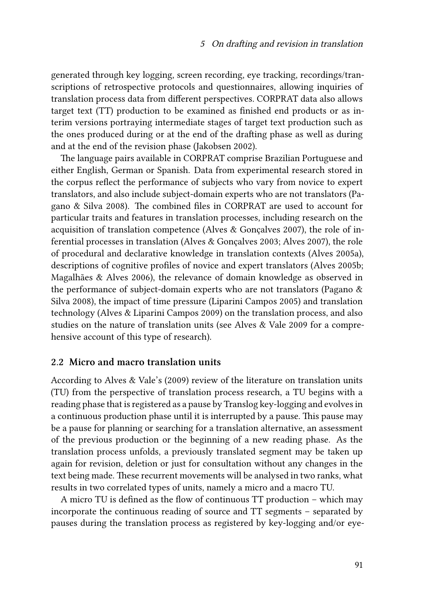generated through key logging, screen recording, eye tracking, recordings/transcriptions of retrospective protocols and questionnaires, allowing inquiries of translation process data from different perspectives. CORPRAT data also allows target text (TT) production to be examined as finished end products or as interim versions portraying intermediate stages of target text production such as the ones produced during or at the end of the drafting phase as well as during and at the end of the revision phase [\(Jakobsen 2002\)](#page-20-5).

The language pairs available in CORPRAT comprise Brazilian Portuguese and either English, German or Spanish. Data from experimental research stored in the corpus reflect the performance of subjects who vary from novice to expert translators, and also include subject-domain experts who are not translators([Pa](#page-20-6)[gano & Silva 2008\)](#page-20-6). The combined files in CORPRAT are used to account for particular traits and features in translation processes, including research on the acquisition of translation competence([Alves & Gonçalves 2007\)](#page-19-2), the role of inferential processes in translation([Alves & Gonçalves 2003](#page-19-3); [Alves 2007](#page-19-0)), the role of procedural and declarative knowledge in translation contexts([Alves 2005a\)](#page-19-4), descriptions of cognitive profiles of novice and expert translators [\(Alves 2005b;](#page-19-5) [Magalhães & Alves 2006\)](#page-20-7), the relevance of domain knowledge as observed in the performance of subject-domain experts who are not translators([Pagano &](#page-20-6) [Silva 2008\)](#page-20-6), the impact of time pressure([Liparini Campos 2005\)](#page-20-8) and translation technology([Alves & Liparini Campos 2009\)](#page-19-6) on the translation process, and also studies on the nature of translation units (see [Alves & Vale 2009](#page-19-1) for a comprehensive account of this type of research).

#### **2.2 Micro and macro translation units**

According to [Alves & Vale'](#page-19-1)s [\(2009\)](#page-19-1) review of the literature on translation units (TU) from the perspective of translation process research, a TU begins with a reading phase that is registered as a pause by Translog key-logging and evolves in a continuous production phase until it is interrupted by a pause. This pause may be a pause for planning or searching for a translation alternative, an assessment of the previous production or the beginning of a new reading phase. As the translation process unfolds, a previously translated segment may be taken up again for revision, deletion or just for consultation without any changes in the text being made. These recurrent movements will be analysed in two ranks, what results in two correlated types of units, namely a micro and a macro TU.

A micro TU is defined as the flow of continuous TT production – which may incorporate the continuous reading of source and TT segments – separated by pauses during the translation process as registered by key-logging and/or eye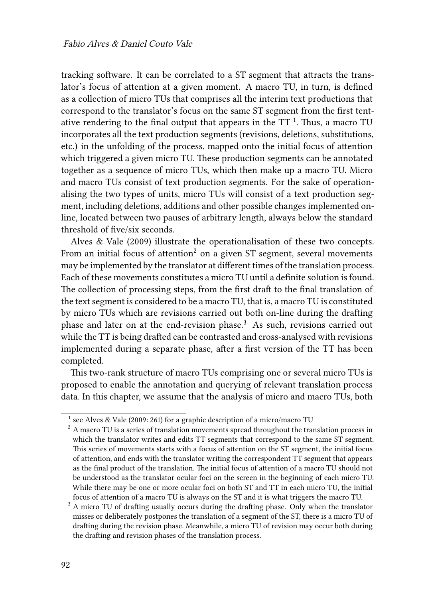tracking software. It can be correlated to a ST segment that attracts the translator's focus of attention at a given moment. A macro TU, in turn, is defined as a collection of micro TUs that comprises all the interim text productions that correspond to the translator's focus on the same ST segment from the first tentative rendering to the final output that appears in the TT  $^{\rm 1}.$  Thus, a macro TU incorporates all the text production segments (revisions, deletions, substitutions, etc.) in the unfolding of the process, mapped onto the initial focus of attention which triggered a given micro TU. These production segments can be annotated together as a sequence of micro TUs, which then make up a macro TU. Micro and macro TUs consist of text production segments. For the sake of operationalising the two types of units, micro TUs will consist of a text production segment, including deletions, additions and other possible changes implemented online, located between two pauses of arbitrary length, always below the standard threshold of five/six seconds.

[Alves & Vale \(2009\)](#page-19-1) illustrate the operationalisation of these two concepts. From an initial focus of attention<sup>2</sup> on a given ST segment, several movements may be implemented by the translator at different times of the translation process. Each of these movements constitutes a micro TU until a definite solution is found. The collection of processing steps, from the first draft to the final translation of the text segment is considered to be a macro TU, that is, a macro TU is constituted by micro TUs which are revisions carried out both on-line during the drafting phase and later on at the end-revision phase.<sup>3</sup> As such, revisions carried out while the TT is being drafted can be contrasted and cross-analysed with revisions implemented during a separate phase, after a first version of the TT has been completed.

This two-rank structure of macro TUs comprising one or several micro TUs is proposed to enable the annotation and querying of relevant translation process data. In this chapter, we assume that the analysis of micro and macro TUs, both

<sup>1</sup> see [Alves & Vale \(2009](#page-19-1): 261) for a graphic description of a micro/macro TU

 $2^2$  A macro TU is a series of translation movements spread throughout the translation process in which the translator writes and edits TT segments that correspond to the same ST segment. This series of movements starts with a focus of attention on the ST segment, the initial focus of attention, and ends with the translator writing the correspondent TT segment that appears as the final product of the translation. The initial focus of attention of a macro TU should not be understood as the translator ocular foci on the screen in the beginning of each micro TU. While there may be one or more ocular foci on both ST and TT in each micro TU, the initial focus of attention of a macro TU is always on the ST and it is what triggers the macro TU.

<sup>&</sup>lt;sup>3</sup> A micro TU of drafting usually occurs during the drafting phase. Only when the translator misses or deliberately postpones the translation of a segment of the ST, there is a micro TU of drafting during the revision phase. Meanwhile, a micro TU of revision may occur both during the drafting and revision phases of the translation process.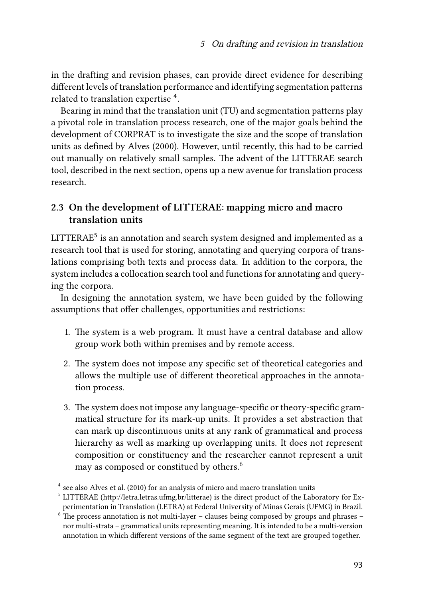in the drafting and revision phases, can provide direct evidence for describing different levels of translation performance and identifying segmentation patterns related to translation expertise  $^4$ .

Bearing in mind that the translation unit (TU) and segmentation patterns play a pivotal role in translation process research, one of the major goals behind the development of CORPRAT is to investigate the size and the scope of translation units as defined by [Alves \(2000\)](#page-19-7). However, until recently, this had to be carried out manually on relatively small samples. The advent of the LITTERAE search tool, described in the next section, opens up a new avenue for translation process research.

# **2.3 On the development of LITTERAE: mapping micro and macro translation units**

 $LITTERAE<sup>5</sup>$  is an annotation and search system designed and implemented as a research tool that is used for storing, annotating and querying corpora of translations comprising both texts and process data. In addition to the corpora, the system includes a collocation search tool and functions for annotating and querying the corpora.

In designing the annotation system, we have been guided by the following assumptions that offer challenges, opportunities and restrictions:

- 1. The system is a web program. It must have a central database and allow group work both within premises and by remote access.
- 2. The system does not impose any specific set of theoretical categories and allows the multiple use of different theoretical approaches in the annotation process.
- 3. The system does not impose any language-specific or theory-specific grammatical structure for its mark-up units. It provides a set abstraction that can mark up discontinuous units at any rank of grammatical and process hierarchy as well as marking up overlapping units. It does not represent composition or constituency and the researcher cannot represent a unit may as composed or constitued by others.<sup>6</sup>

<sup>&</sup>lt;sup>4</sup> see also [Alves et al. \(2010\)](#page-20-3) for an analysis of micro and macro translation units

<sup>&</sup>lt;sup>5</sup> LITTERAE (http://letra.letras.ufmg.br/litterae) is the direct product of the Laboratory for Experimentation in Translation (LETRA) at Federal University of Minas Gerais (UFMG) in Brazil.

 $6$  The process annotation is not multi-layer – clauses being composed by groups and phrases – nor multi-strata – grammatical units representing meaning. It is intended to be a multi-version annotation in which different versions of the same segment of the text are grouped together.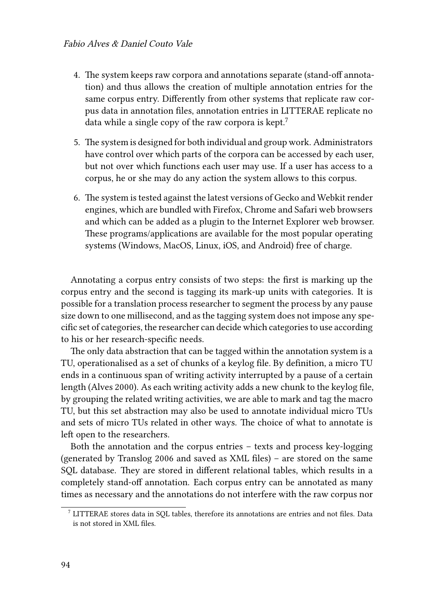- 4. The system keeps raw corpora and annotations separate (stand-off annotation) and thus allows the creation of multiple annotation entries for the same corpus entry. Differently from other systems that replicate raw corpus data in annotation files, annotation entries in LITTERAE replicate no data while a single copy of the raw corpora is kept.<sup>7</sup>
- 5. The system is designed for both individual and group work. Administrators have control over which parts of the corpora can be accessed by each user, but not over which functions each user may use. If a user has access to a corpus, he or she may do any action the system allows to this corpus.
- 6. The system is tested against the latest versions of Gecko and Webkit render engines, which are bundled with Firefox, Chrome and Safari web browsers and which can be added as a plugin to the Internet Explorer web browser. These programs/applications are available for the most popular operating systems (Windows, MacOS, Linux, iOS, and Android) free of charge.

Annotating a corpus entry consists of two steps: the first is marking up the corpus entry and the second is tagging its mark-up units with categories. It is possible for a translation process researcher to segment the process by any pause size down to one millisecond, and as the tagging system does not impose any specific set of categories, the researcher can decide which categories to use according to his or her research-specific needs.

The only data abstraction that can be tagged within the annotation system is a TU, operationalised as a set of chunks of a keylog file. By definition, a micro TU ends in a continuous span of writing activity interrupted by a pause of a certain length [\(Alves 2000](#page-19-7)). As each writing activity adds a new chunk to the keylog file, by grouping the related writing activities, we are able to mark and tag the macro TU, but this set abstraction may also be used to annotate individual micro TUs and sets of micro TUs related in other ways. The choice of what to annotate is left open to the researchers.

Both the annotation and the corpus entries – texts and process key-logging (generated by Translog 2006 and saved as XML files) – are stored on the same SQL database. They are stored in different relational tables, which results in a completely stand-off annotation. Each corpus entry can be annotated as many times as necessary and the annotations do not interfere with the raw corpus nor

 $^7$  LITTERAE stores data in SQL tables, therefore its annotations are entries and not files. Data is not stored in XML files.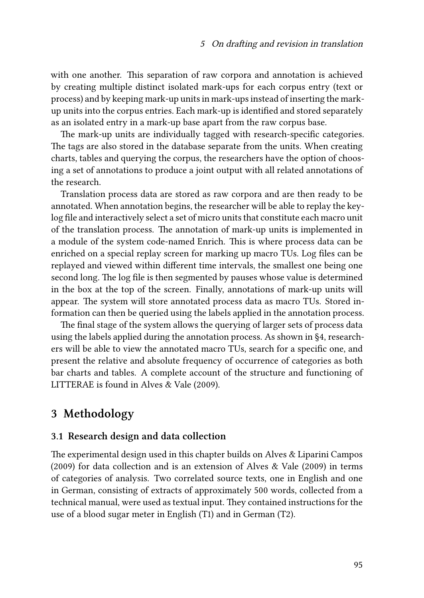with one another. This separation of raw corpora and annotation is achieved by creating multiple distinct isolated mark-ups for each corpus entry (text or process) and by keeping mark-up units in mark-ups instead of inserting the markup units into the corpus entries. Each mark-up is identified and stored separately as an isolated entry in a mark-up base apart from the raw corpus base.

The mark-up units are individually tagged with research-specific categories. The tags are also stored in the database separate from the units. When creating charts, tables and querying the corpus, the researchers have the option of choosing a set of annotations to produce a joint output with all related annotations of the research.

Translation process data are stored as raw corpora and are then ready to be annotated. When annotation begins, the researcher will be able to replay the keylog file and interactively select a set of micro units that constitute each macro unit of the translation process. The annotation of mark-up units is implemented in a module of the system code-named Enrich. This is where process data can be enriched on a special replay screen for marking up macro TUs. Log files can be replayed and viewed within different time intervals, the smallest one being one second long. The log file is then segmented by pauses whose value is determined in the box at the top of the screen. Finally, annotations of mark-up units will appear. The system will store annotated process data as macro TUs. Stored information can then be queried using the labels applied in the annotation process.

The final stage of the system allows the querying of larger sets of process data using the labels applied during the annotation process. As shown in [§4](#page-10-0), researchers will be able to view the annotated macro TUs, search for a specific one, and present the relative and absolute frequency of occurrence of categories as both bar charts and tables. A complete account of the structure and functioning of LITTERAE is found in [Alves & Vale \(2009\).](#page-19-1)

# **3 Methodology**

#### **3.1 Research design and data collection**

The experimental design used in this chapter builds on [Alves & Liparini Campos](#page-19-6) [\(2009\)](#page-19-6) for data collection and is an extension of [Alves & Vale \(2009\)](#page-19-1) in terms of categories of analysis. Two correlated source texts, one in English and one in German, consisting of extracts of approximately 500 words, collected from a technical manual, were used as textual input. They contained instructions for the use of a blood sugar meter in English (T1) and in German (T2).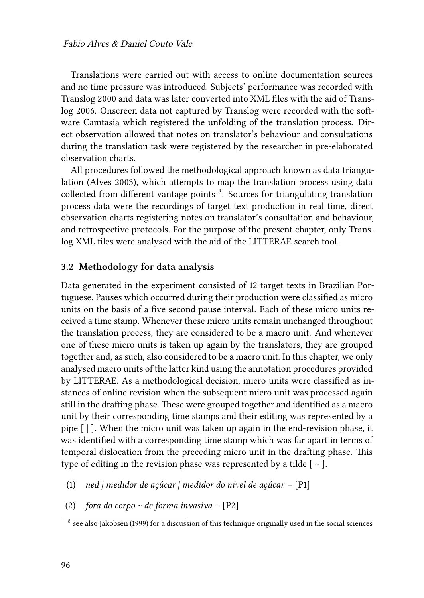Translations were carried out with access to online documentation sources and no time pressure was introduced. Subjects' performance was recorded with Translog 2000 and data was later converted into XML files with the aid of Translog 2006. Onscreen data not captured by Translog were recorded with the software Camtasia which registered the unfolding of the translation process. Direct observation allowed that notes on translator's behaviour and consultations during the translation task were registered by the researcher in pre-elaborated observation charts.

All procedures followed the methodological approach known as data triangulation [\(Alves 2003\)](#page-19-8), which attempts to map the translation process using data collected from different vantage points <sup>8</sup>. Sources for triangulating translation process data were the recordings of target text production in real time, direct observation charts registering notes on translator's consultation and behaviour, and retrospective protocols. For the purpose of the present chapter, only Translog XML files were analysed with the aid of the LITTERAE search tool.

#### **3.2 Methodology for data analysis**

Data generated in the experiment consisted of 12 target texts in Brazilian Portuguese. Pauses which occurred during their production were classified as micro units on the basis of a five second pause interval. Each of these micro units received a time stamp. Whenever these micro units remain unchanged throughout the translation process, they are considered to be a macro unit. And whenever one of these micro units is taken up again by the translators, they are grouped together and, as such, also considered to be a macro unit. In this chapter, we only analysed macro units of the latter kind using the annotation procedures provided by LITTERAE. As a methodological decision, micro units were classified as instances of online revision when the subsequent micro unit was processed again still in the drafting phase. These were grouped together and identified as a macro unit by their corresponding time stamps and their editing was represented by a pipe [ | ]. When the micro unit was taken up again in the end-revision phase, it was identified with a corresponding time stamp which was far apart in terms of temporal dislocation from the preceding micro unit in the drafting phase. This type of editing in the revision phase was represented by a tilde  $\lceil \sim \rceil$ .

- <span id="page-7-0"></span>(1) *ned | medidor de açúcar | medidor do nível de açúcar* – [P1]
- <span id="page-7-1"></span>(2) *fora do corpo ~ de forma invasiva* – [P2]

 $^8$  see also [Jakobsen \(1999\)](#page-20-9) for a discussion of this technique originally used in the social sciences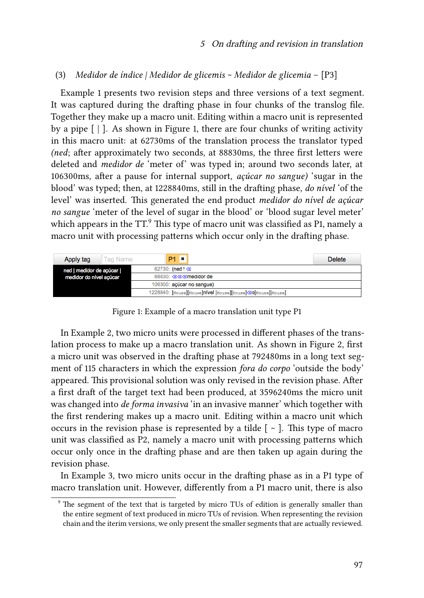#### <span id="page-8-1"></span>(3) *Medidor de índice | Medidor de glicemis ~ Medidor de glicemia* – [P3]

Example [1](#page-7-0) presents two revision steps and three versions of a text segment. It was captured during the drafting phase in four chunks of the translog file. Together they make up a macro unit. Editing within a macro unit is represented by a pipe  $\lceil \cdot \rceil$ . As shown in Figure [1](#page-8-0), there are four chunks of writing activity in this macro unit: at 62730ms of the translation process the translator typed *(ned*; after approximately two seconds, at 88830ms, the three first letters were deleted and *medidor de* 'meter of' was typed in; around two seconds later, at 106300ms, after a pause for internal support, *açúcar no sangue)* 'sugar in the blood' was typed; then, at 1228840ms, still in the drafting phase, *do nível* 'of the level' was inserted. This generated the end product *medidor do nível de açúcar no sangue* 'meter of the level of sugar in the blood' or 'blood sugar level meter' which appears in the  $TT^9$ . This type of macro unit was classified as P1, namely a macro unit with processing patterns which occur only in the drafting phase.

<span id="page-8-0"></span>

| Tag Name<br>Apply tag   | $\mathbf{z}$<br>P <sub>1</sub>                               | <b>Delete</b> |
|-------------------------|--------------------------------------------------------------|---------------|
| ned   medidor de açúcar | $62730$ : (ned $\uparrow \textcircled{x}$                    |               |
| medidor do nível acúcar | 88830: 33 a medidor de                                       |               |
|                         | 106300: açúcar no sangue)                                    |               |
|                         | 1228840: [Mouse][Mouse]nivel [Mouse][Mouse] 30[Mouse][Mouse] |               |

Figure 1: Example of a macro translation unit type P1

In Example [2,](#page-7-1) two micro units were processed in different phases of the translation process to make up a macro translation unit. As shown in Figure [2,](#page-9-0) first a micro unit was observed in the drafting phase at 792480ms in a long text segment of 115 characters in which the expression *fora do corpo* 'outside the body' appeared. This provisional solution was only revised in the revision phase. After a first draft of the target text had been produced, at 3596240ms the micro unit was changed into *de forma invasiva* 'in an invasive manner' which together with the first rendering makes up a macro unit. Editing within a macro unit which occurs in the revision phase is represented by a tilde  $\lceil \sim \rceil$ . This type of macro unit was classified as P2, namely a macro unit with processing patterns which occur only once in the drafting phase and are then taken up again during the revision phase.

In Example [3](#page-8-1), two micro units occur in the drafting phase as in a P1 type of macro translation unit. However, differently from a P1 macro unit, there is also

<sup>&</sup>lt;sup>9</sup> The segment of the text that is targeted by micro TUs of edition is generally smaller than the entire segment of text produced in micro TUs of revision. When representing the revision chain and the iterim versions, we only present the smaller segments that are actually reviewed.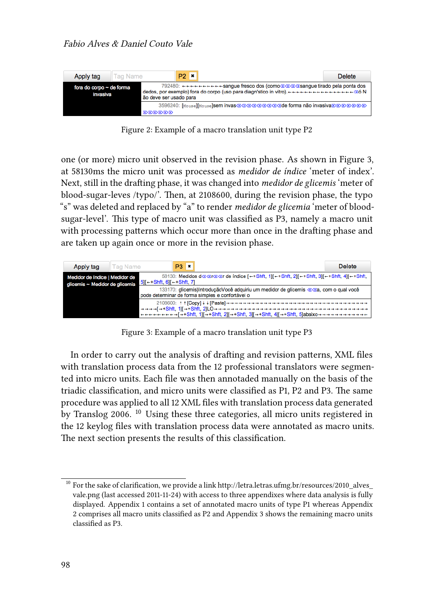<span id="page-9-0"></span>

Figure 2: Example of a macro translation unit type P2

one (or more) micro unit observed in the revision phase. As shown in Figure [3,](#page-9-1) at 58130ms the micro unit was processed as *medidor de índice* 'meter of index'. Next, still in the drafting phase, it was changed into *medidor de glicemis* 'meter of blood-sugar-leves /typo/'. Then, at 2108600, during the revision phase, the typo "s" was deleted and replaced by "a" to render *medidor de glicemia* 'meter of bloodsugar-level'. This type of macro unit was classified as P3, namely a macro unit with processing patterns which occur more than once in the drafting phase and are taken up again once or more in the revision phase.

<span id="page-9-1"></span>

Figure 3: Example of a macro translation unit type P3

In order to carry out the analysis of drafting and revision patterns, XML files with translation process data from the 12 professional translators were segmented into micro units. Each file was then annotaded manually on the basis of the triadic classification, and micro units were classified as P1, P2 and P3. The same procedure was applied to all 12 XML files with translation process data generated by Translog 2006. 10 Using these three categories, all micro units registered in the 12 keylog files with translation process data were annotated as macro units. The next section presents the results of this classification.

 $^{10}$  For the sake of clarification, we provide a link [http://letra.letras.ufmg.br/resources/2010\\_alves\\_](http://letra.letras.ufmg.br/resources/2010_alves_vale.png) [vale.png](http://letra.letras.ufmg.br/resources/2010_alves_vale.png) (last accessed 2011-11-24) with access to three appendixes where data analysis is fully displayed. Appendix 1 contains a set of annotated macro units of type P1 whereas Appendix 2 comprises all macro units classified as P2 and Appendix 3 shows the remaining macro units classified as P3.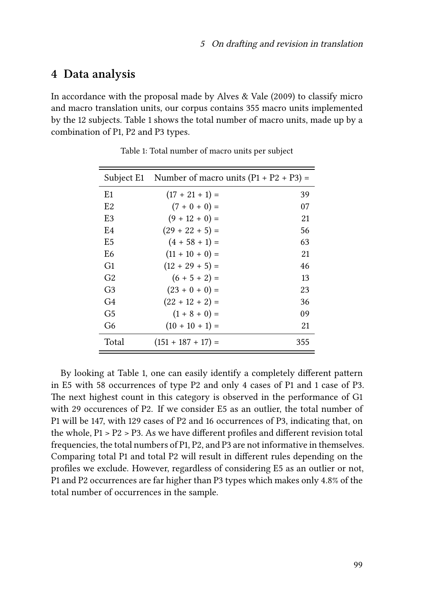# <span id="page-10-0"></span>**4 Data analysis**

In accordance with the proposal made by [Alves & Vale \(2009\)](#page-19-1) to classify micro and macro translation units, our corpus contains 355 macro units implemented by the 12 subjects. Table [1](#page-10-1) shows the total number of macro units, made up by a combination of P1, P2 and P3 types.

<span id="page-10-1"></span>

|                | Subject E1 Number of macro units $(P1 + P2 + P3) =$ |     |
|----------------|-----------------------------------------------------|-----|
| E <sub>1</sub> | $(17 + 21 + 1) =$                                   | 39  |
| E2             | $(7 + 0 + 0) =$                                     | 07  |
| E3             | $(9 + 12 + 0) =$                                    | 21  |
| E4             | $(29 + 22 + 5) =$                                   | 56  |
| E5             | $(4 + 58 + 1) =$                                    | 63  |
| E6             | $(11 + 10 + 0) =$                                   | 21  |
| G1             | $(12 + 29 + 5) =$                                   | 46  |
| G2             | $(6 + 5 + 2) =$                                     | 13  |
| G <sub>3</sub> | $(23 + 0 + 0) =$                                    | 23  |
| G <sub>4</sub> | $(22 + 12 + 2) =$                                   | 36  |
| G5             | $(1 + 8 + 0) =$                                     | 09  |
| G6             | $(10 + 10 + 1) =$                                   | 21  |
| Total          | $(151 + 187 + 17) =$                                | 355 |

Table 1: Total number of macro units per subject

By looking at Table [1](#page-10-1), one can easily identify a completely different pattern in E5 with 58 occurrences of type P2 and only 4 cases of P1 and 1 case of P3. The next highest count in this category is observed in the performance of G1 with 29 occurences of P2. If we consider E5 as an outlier, the total number of P1 will be 147, with 129 cases of P2 and 16 occurrences of P3, indicating that, on the whole, P1 > P2 > P3. As we have different profiles and different revision total frequencies, the total numbers of P1, P2, and P3 are not informative in themselves. Comparing total P1 and total P2 will result in different rules depending on the profiles we exclude. However, regardless of considering E5 as an outlier or not, P1 and P2 occurrences are far higher than P3 types which makes only 4.8% of the total number of occurrences in the sample.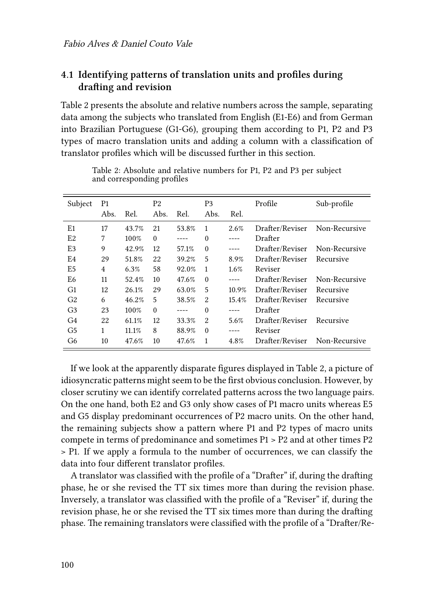# **4.1 Identifying patterns of translation units and profiles during drafting and revision**

Table [2](#page-11-0) presents the absolute and relative numbers across the sample, separating data among the subjects who translated from English (E1-E6) and from German into Brazilian Portuguese (G1-G6), grouping them according to P1, P2 and P3 types of macro translation units and adding a column with a classification of translator profiles which will be discussed further in this section.

<span id="page-11-0"></span>

| Subject        | P <sub>1</sub> |       | P <sub>2</sub> |       | P <sub>3</sub> |       | Profile         | Sub-profile   |
|----------------|----------------|-------|----------------|-------|----------------|-------|-----------------|---------------|
|                | Abs.           | Rel.  | Abs.           | Rel.  | Abs.           | Rel.  |                 |               |
| E1             | 17             | 43.7% | 21             | 53.8% | 1              | 2.6%  | Drafter/Reviser | Non-Recursive |
| E2             | 7              | 100%  | $\Omega$       |       | $\Omega$       | ----  | Drafter         |               |
| E3             | 9              | 42.9% | 12             | 57.1% | $\Omega$       | ----  | Drafter/Reviser | Non-Recursive |
| E4             | 29             | 51.8% | 22             | 39.2% | 5              | 8.9%  | Drafter/Reviser | Recursive     |
| E5             | $\overline{4}$ | 6.3%  | 58             | 92.0% | 1              | 1.6%  | Reviser         |               |
| E <sub>6</sub> | 11             | 52.4% | 10             | 47.6% | $\Omega$       | ----  | Drafter/Reviser | Non-Recursive |
| G <sub>1</sub> | 12             | 26.1% | 29             | 63.0% | 5              | 10.9% | Drafter/Reviser | Recursive     |
| G <sub>2</sub> | 6              | 46.2% | 5              | 38.5% | $\mathfrak{D}$ | 15.4% | Drafter/Reviser | Recursive     |
| G <sub>3</sub> | 23             | 100%  | $\Omega$       |       | $\Omega$       |       | Drafter         |               |
| G4             | 22             | 61.1% | 12             | 33.3% | $\overline{2}$ | 5.6%  | Drafter/Reviser | Recursive     |
| G5             | 1              | 11.1% | 8              | 88.9% | $\Omega$       |       | Reviser         |               |
| G6             | 10             | 47.6% | 10             | 47.6% | 1              | 4.8%  | Drafter/Reviser | Non-Recursive |

Table 2: Absolute and relative numbers for P1, P2 and P3 per subject and corresponding profiles

If we look at the apparently disparate figures displayed in Table [2,](#page-11-0) a picture of idiosyncratic patterns might seem to be the first obvious conclusion. However, by closer scrutiny we can identify correlated patterns across the two language pairs. On the one hand, both E2 and G3 only show cases of P1 macro units whereas E5 and G5 display predominant occurrences of P2 macro units. On the other hand, the remaining subjects show a pattern where P1 and P2 types of macro units compete in terms of predominance and sometimes P1 > P2 and at other times P2 > P1. If we apply a formula to the number of occurrences, we can classify the data into four different translator profiles.

A translator was classified with the profile of a "Drafter" if, during the drafting phase, he or she revised the TT six times more than during the revision phase. Inversely, a translator was classified with the profile of a "Reviser" if, during the revision phase, he or she revised the TT six times more than during the drafting phase. The remaining translators were classified with the profile of a "Drafter/Re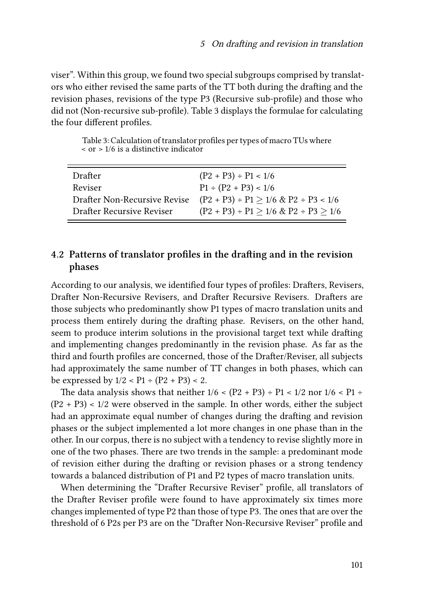viser". Within this group, we found two special subgroups comprised by translators who either revised the same parts of the TT both during the drafting and the revision phases, revisions of the type P3 (Recursive sub-profile) and those who did not (Non-recursive sub-profile). Table [3](#page-12-0) displays the formulae for calculating the four different profiles.

Table 3: Calculation of translator profiles per types of macro TUs where  $\alpha$  or  $> 1/6$  is a distinctive indicator

<span id="page-12-0"></span>

| Drafter                      | $(P2 + P3) \div P1 < 1/6$                         |
|------------------------------|---------------------------------------------------|
| Reviser                      | $P1 \div (P2 + P3) < 1/6$                         |
| Drafter Non-Recursive Revise | $(P2 + P3) \div P1 \ge 1/6 \& P2 \div P3 < 1/6$   |
| Drafter Recursive Reviser    | $(P2 + P3) \div P1 \ge 1/6 \& P2 \div P3 \ge 1/6$ |

## **4.2 Patterns of translator profiles in the drafting and in the revision phases**

According to our analysis, we identified four types of profiles: Drafters, Revisers, Drafter Non-Recursive Revisers, and Drafter Recursive Revisers. Drafters are those subjects who predominantly show P1 types of macro translation units and process them entirely during the drafting phase. Revisers, on the other hand, seem to produce interim solutions in the provisional target text while drafting and implementing changes predominantly in the revision phase. As far as the third and fourth profiles are concerned, those of the Drafter/Reviser, all subjects had approximately the same number of TT changes in both phases, which can be expressed by  $1/2 <$  P1 ÷ (P2 + P3) < 2.

The data analysis shows that neither  $1/6 < (P2 + P3) \div P1 < 1/2$  nor  $1/6 < P1 \div$  $(P2 + P3)$  < 1/2 were observed in the sample. In other words, either the subject had an approximate equal number of changes during the drafting and revision phases or the subject implemented a lot more changes in one phase than in the other. In our corpus, there is no subject with a tendency to revise slightly more in one of the two phases. There are two trends in the sample: a predominant mode of revision either during the drafting or revision phases or a strong tendency towards a balanced distribution of P1 and P2 types of macro translation units.

When determining the "Drafter Recursive Reviser" profile, all translators of the Drafter Reviser profile were found to have approximately six times more changes implemented of type P2 than those of type P3. The ones that are over the threshold of 6 P2s per P3 are on the "Drafter Non-Recursive Reviser" profile and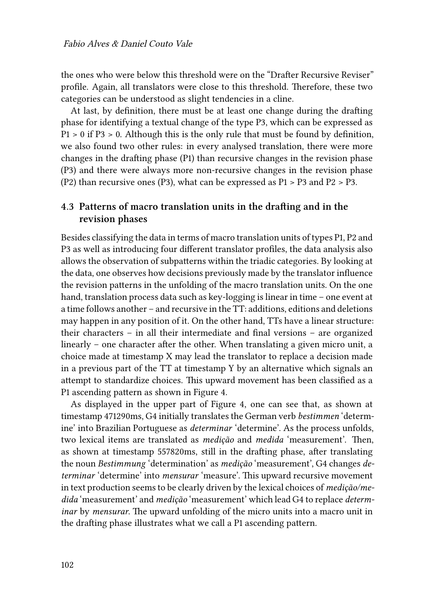the ones who were below this threshold were on the "Drafter Recursive Reviser" profile. Again, all translators were close to this threshold. Therefore, these two categories can be understood as slight tendencies in a cline.

At last, by definition, there must be at least one change during the drafting phase for identifying a textual change of the type P3, which can be expressed as P1 > 0 if P3 > 0. Although this is the only rule that must be found by definition, we also found two other rules: in every analysed translation, there were more changes in the drafting phase (P1) than recursive changes in the revision phase (P3) and there were always more non-recursive changes in the revision phase (P2) than recursive ones (P3), what can be expressed as P1 > P3 and P2 > P3.

### **4.3 Patterns of macro translation units in the drafting and in the revision phases**

Besides classifying the data in terms of macro translation units of types P1, P2 and P3 as well as introducing four different translator profiles, the data analysis also allows the observation of subpatterns within the triadic categories. By looking at the data, one observes how decisions previously made by the translator influence the revision patterns in the unfolding of the macro translation units. On the one hand, translation process data such as key-logging is linear in time – one event at a time follows another – and recursive in the TT: additions, editions and deletions may happen in any position of it. On the other hand, TTs have a linear structure: their characters – in all their intermediate and final versions – are organized linearly – one character after the other. When translating a given micro unit, a choice made at timestamp X may lead the translator to replace a decision made in a previous part of the TT at timestamp Y by an alternative which signals an attempt to standardize choices. This upward movement has been classified as a P1 ascending pattern as shown in Figure [4](#page-14-0).

As displayed in the upper part of Figure [4,](#page-14-0) one can see that, as shown at timestamp 471290ms, G4 initially translates the German verb *bestimmen* 'determine' into Brazilian Portuguese as *determinar* 'determine'. As the process unfolds, two lexical items are translated as *medição* and *medida* 'measurement'. Then, as shown at timestamp 557820ms, still in the drafting phase, after translating the noun *Bestimmung* 'determination' as *medição* 'measurement', G4 changes *determinar* 'determine' into *mensurar* 'measure'. This upward recursive movement in text production seems to be clearly driven by the lexical choices of *medição/medida* 'measurement' and *medição* 'measurement' which lead G4 to replace *determinar* by *mensurar*. The upward unfolding of the micro units into a macro unit in the drafting phase illustrates what we call a P1 ascending pattern.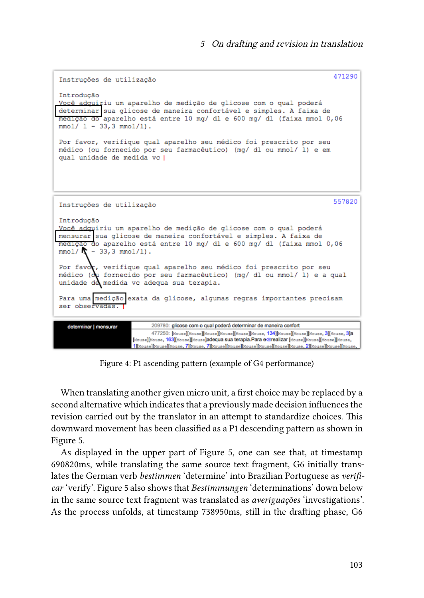```
471290
 Instruções de utilização
Introdução
Você adquiriu um aparelho de medição de glicose com o qual poderá
determinar sua glicose de maneira confortável e simples. A faixa de
medição do aparelho está entre 10 mg/ dl e 600 mg/ dl (faixa mmol 0,06
mmol/ 1 - 33, 3 mmol/1.
Por favor, verifique qual aparelho seu médico foi prescrito por seu
médico (ou fornecido por seu farmacêutico) (mg/ dl ou mmol/ l) e em
qual unidade de medida vc |
                                                                                 557820
Instruções de utilização
Introducão
Você adquiriu um aparelho de medição de glicose com o qual poderá
mensurar sua glicose de maneira confortável e simples. A faixa de
medição do aparelho está entre 10 mg/ dl e 600 mg/ dl (faixa mmol 0,06
mmol/\bigwedge - 33, 3 mmol/1).
Por favor, verifique qual aparelho seu médico foi prescrito por seu
médico (ou fornecido por seu farmacêutico) (mg/ dl ou mmol/ l) e a qual
unidade de medida vo adequa sua terapia.
Para uma medição exata da glicose, algumas regras importantes precisam ser observadas.
   determinar | mensurar
                            209780: glicose com o qual poderá determinar de maneira confort
                            477250: [Mouse][Mouse][Mouse][Mouse][Mouse][Mouse, 134][Mouse][Mouse][Mouse, 3][Mouse, 3]a
                      [Mouse][Mouse, 163][Mouse][Mouse]adequa sua terapia.Para e<br/>Grealizar [Mouse][Mouse][Mouse][Mouse,
                      1][Xouse][Xouse][Xouse, 7][Xouse, 7][Xouse][Xouse][Xouse][Xouse][Xouse][Xouse][Xouse][Xouse][Xouse][Xouse]
```
Figure 4: P1 ascending pattern (example of G4 performance)

When translating another given micro unit, a first choice may be replaced by a second alternative which indicates that a previously made decision influences the revision carried out by the translator in an attempt to standardize choices. This downward movement has been classified as a P1 descending pattern as shown in Figure [5](#page-15-0).

As displayed in the upper part of Figure [5](#page-15-0), one can see that, at timestamp 690820ms, while translating the same source text fragment, G6 initially translates the German verb *bestimmen* 'determine' into Brazilian Portuguese as *verificar* 'verify'. Figure [5](#page-15-0) also shows that *Bestimmungen* 'determinations' down below in the same source text fragment was translated as *averiguações* 'investigations'. As the process unfolds, at timestamp 738950ms, still in the drafting phase, G6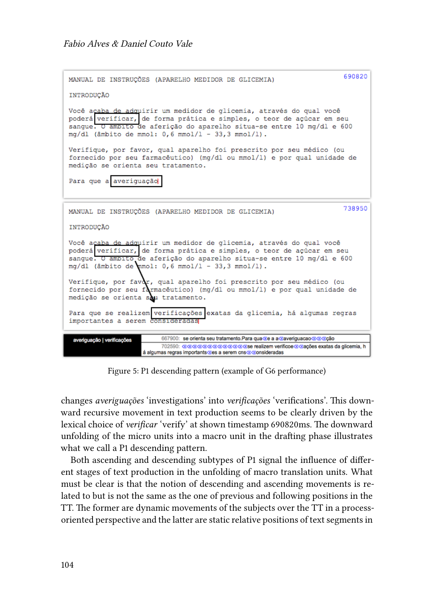<span id="page-15-0"></span>

| 690820<br>MANUAL DE INSTRUCÕES (APARELHO MEDIDOR DE GLICEMIA)                                                                                                                                                                                                                 |  |  |  |
|-------------------------------------------------------------------------------------------------------------------------------------------------------------------------------------------------------------------------------------------------------------------------------|--|--|--|
| INTRODUCÃO                                                                                                                                                                                                                                                                    |  |  |  |
| Você açaba de adquirir um medidor de glicemia, através do qual você<br>poderá verificar, de forma prática e simples, o teor de açúcar em seu<br>sangue. O ambito de aferição do aparelho situa-se entre 10 mg/dl e 600<br>$mq/dl$ (âmbito de mmol: 0,6 mmol/1 - 33,3 mmol/1). |  |  |  |
| Verifique, por favor, qual aparelho foi prescrito por seu médico (ou<br>fornecido por seu farmacêutico) (mg/dl ou mmol/l) e por qual unidade de<br>medição se orienta seu tratamento.                                                                                         |  |  |  |
| Para que a averiquação                                                                                                                                                                                                                                                        |  |  |  |
| 738950<br>MANUAL DE INSTRUÇÕES (APARELHO MEDIDOR DE GLICEMIA)                                                                                                                                                                                                                 |  |  |  |
| INTRODUCÃO                                                                                                                                                                                                                                                                    |  |  |  |
| Você acaba de adquirir um medidor de glicemia, através do qual você<br>poderá verificar, de forma prática e simples, o teor de açúcar em seu<br>sanque. O ambito de aferição do aparelho situa-se entre 10 mg/dl e 600<br>$mg/d1$ (âmbito de mmol: 0,6 mmol/1 - 33,3 mmol/1). |  |  |  |
| Verifique, por favor, qual aparelho foi prescrito por seu médico (ou<br>fornecido por seu farmacêutico) (mg/dl ou mmol/l) e por qual unidade de<br>medição se orienta sou tratamento.                                                                                         |  |  |  |
| Para que se realizem verificações exatas da glicemia, há algumas regras<br>importantes a serem consideradas                                                                                                                                                                   |  |  |  |
| 667900: se orienta seu tratamento.Para qua de a a daveriguação direção<br>averiguação   verificações                                                                                                                                                                          |  |  |  |
| 702590: @@@@@@@@@@@@@se realizem verificoe@@ações exatas da glicemia, h<br>á algumas regras importants@es a serem cns@@onsideradas                                                                                                                                            |  |  |  |

Figure 5: P1 descending pattern (example of G6 performance)

changes *averiguações* 'investigations' into *verificações* 'verifications'. This downward recursive movement in text production seems to be clearly driven by the lexical choice of *verificar* 'verify' at shown timestamp 690820ms. The downward unfolding of the micro units into a macro unit in the drafting phase illustrates what we call a P1 descending pattern.

Both ascending and descending subtypes of P1 signal the influence of different stages of text production in the unfolding of macro translation units. What must be clear is that the notion of descending and ascending movements is related to but is not the same as the one of previous and following positions in the TT. The former are dynamic movements of the subjects over the TT in a processoriented perspective and the latter are static relative positions of text segments in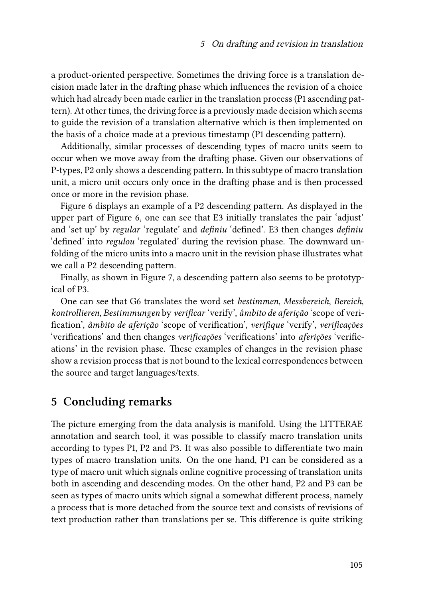a product-oriented perspective. Sometimes the driving force is a translation decision made later in the drafting phase which influences the revision of a choice which had already been made earlier in the translation process (P1 ascending pattern). At other times, the driving force is a previously made decision which seems to guide the revision of a translation alternative which is then implemented on the basis of a choice made at a previous timestamp (P1 descending pattern).

Additionally, similar processes of descending types of macro units seem to occur when we move away from the drafting phase. Given our observations of P-types, P2 only shows a descending pattern. In this subtype of macro translation unit, a micro unit occurs only once in the drafting phase and is then processed once or more in the revision phase.

Figure [6](#page-17-0) displays an example of a P2 descending pattern. As displayed in the upper part of Figure [6,](#page-17-0) one can see that E3 initially translates the pair 'adjust' and 'set up' by *regular* 'regulate' and *definiu* 'defined'. E3 then changes *definiu* 'defined' into *regulou* 'regulated' during the revision phase. The downward unfolding of the micro units into a macro unit in the revision phase illustrates what we call a P2 descending pattern.

Finally, as shown in Figure [7,](#page-18-0) a descending pattern also seems to be prototypical of P3.

One can see that G6 translates the word set *bestimmen*, *Messbereich*, *Bereich*, *kontrollieren*, *Bestimmungen* by *verificar* 'verify', *âmbito de aferição* 'scope of verification', *âmbito de aferição* 'scope of verification', *verifique* 'verify', *verificações* 'verifications' and then changes *verificações* 'verifications' into *aferições* 'verifications' in the revision phase. These examples of changes in the revision phase show a revision process that is not bound to the lexical correspondences between the source and target languages/texts.

# **5 Concluding remarks**

The picture emerging from the data analysis is manifold. Using the LITTERAE annotation and search tool, it was possible to classify macro translation units according to types P1, P2 and P3. It was also possible to differentiate two main types of macro translation units. On the one hand, P1 can be considered as a type of macro unit which signals online cognitive processing of translation units both in ascending and descending modes. On the other hand, P2 and P3 can be seen as types of macro units which signal a somewhat different process, namely a process that is more detached from the source text and consists of revisions of text production rather than translations per se. This difference is quite striking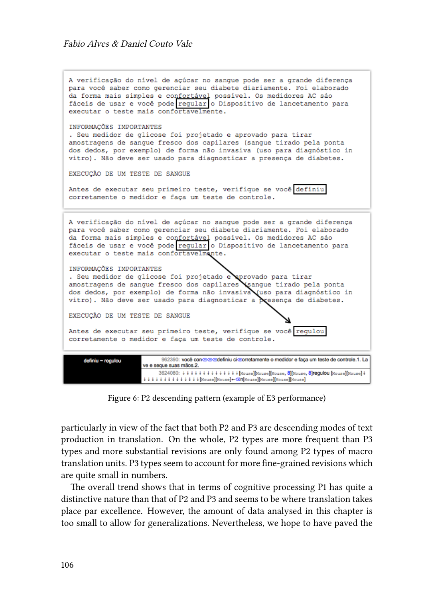<span id="page-17-0"></span>A verificação do nível de açúcar no sanque pode ser a grande diferença para você saber como gerenciar seu diabete diariamente. Foi elaborado da forma mais simples e confortável possível. Os medidores AC são<br>fáceis de usar e você pode regular o Dispositivo de lancetamento para executar o teste mais confortavelmente. INFORMACÕES IMPORTANTES . Seu medidor de glicose foi projetado e aprovado para tirar amostragens de sangue fresco dos capilares (sangue tirado pela ponta dos dedos, por exemplo) de forma não invasiva (uso para diagnóstico in vitro). Não deve ser usado para diagnosticar a presenca de diabetes. EXECUÇÃO DE UM TESTE DE SANGUE Antes de executar seu primeiro teste, verifique se você definiu corretamente o medidor e faça um teste de controle. A verificação do nível de açúcar no sangue pode ser a grande diferença para você saber como gerenciar seu diabete diariamente. Foi elaborado da forma mais simples e confortável possível. Os medidores AC sáo fáceis de usar e você pode regular o Dispositivo de lancetamento para executar o teste mais confortavelmente. INFORMAÇÕES IMPORTANTES . Seu medidor de glicose foi projetado e provado para tirar amostragens de sangue fresco dos capilares sangue tirado pela ponta dos dedos, por exemplo) de forma não invasiva uso para diagnóstico in vitro). Não deve ser usado para diagnosticar a resença de diabetes. EXECUÇÃO DE UM TESTE DE SANGUE Antes de executar seu primeiro teste, verifique se você regulou corretamente o medidor e faça um teste de controle. 962390: você cono digitale finiu cicrorretamente o medidor e faça um teste de controle.1. La definiu ~ regulou ve e seque suas mãos.2. 3624080: 4 4 4 4 4 4 4 4 4 4 4 4 [Mouse][Mouse][Mouse, 8][Mouse, 8]regulou [Mouse][Mouse] 4  $\texttt{[Mouse]}[\texttt{Mouse]}[\texttt{Mouse]}[\texttt{Mouse]}-\texttt{S}[\texttt{Mouse]}[\texttt{Mouse]}[\texttt{Mouse]}[\texttt{Mouse]}]$ 

Figure 6: P2 descending pattern (example of E3 performance)

particularly in view of the fact that both P2 and P3 are descending modes of text production in translation. On the whole, P2 types are more frequent than P3 types and more substantial revisions are only found among P2 types of macro translation units. P3 types seem to account for more fine-grained revisions which are quite small in numbers.

The overall trend shows that in terms of cognitive processing P1 has quite a distinctive nature than that of P2 and P3 and seems to be where translation takes place par excellence. However, the amount of data analysed in this chapter is too small to allow for generalizations. Nevertheless, we hope to have paved the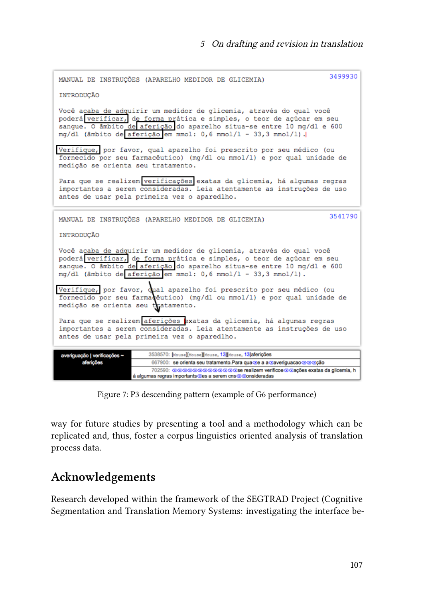<span id="page-18-0"></span>

| MANUAL DE INSTRUCÕES (APARELHO MEDIDOR DE GLICEMIA)                                                                                                                                                                                                                                     | 3499930 |  |  |
|-----------------------------------------------------------------------------------------------------------------------------------------------------------------------------------------------------------------------------------------------------------------------------------------|---------|--|--|
| INTRODUCÃO                                                                                                                                                                                                                                                                              |         |  |  |
| Você acaba de adquirir um medidor de glicemia, através do qual você<br>poderá verificar, de forma prática e simples, o teor de açúcar em seu<br>sangue. O âmbito de aferição do aparelho situa-se entre 10 mg/dl e 600<br>mg/dl (âmbito de aferição em mmol: 0,6 mmol/1 - 33,3 mmol/1). |         |  |  |
| Verifique, por favor, qual aparelho foi prescrito por seu médico (ou<br>fornecido por seu farmacêutico) (mg/dl ou mmol/l) e por qual unidade de<br>medição se orienta seu tratamento.                                                                                                   |         |  |  |
| Para que se realizem verificações exatas da glicemia, há algumas regras<br>importantes a serem consideradas. Leia atentamente as instruções de uso<br>antes de usar pela primeira vez o aparedlho.                                                                                      |         |  |  |
| MANUAL DE INSTRUCÕES (APARELHO MEDIDOR DE GLICEMIA)                                                                                                                                                                                                                                     | 3541790 |  |  |
| INTRODUCÃO                                                                                                                                                                                                                                                                              |         |  |  |
| Você acaba de adquirir um medidor de glicemia, através do qual você<br>poderá verificar, de forma prática e simples, o teor de açúcar em seu<br>sangue. O âmbito de aferição do aparelho situa-se entre 10 mg/dl e 600<br>mg/dl (âmbito de aferição em mmol: 0,6 mmol/1 - 33,3 mmol/1). |         |  |  |
| Verifique, por favor, qual aparelho foi prescrito por seu médico (ou<br>fornecido por seu farmacêutico) (mg/dl ou mmol/l) e por qual unidade de<br>medição se orienta seu tratamento.                                                                                                   |         |  |  |
| Para que se realizem aferições exatas da glicemia, há algumas regras<br>importantes a serem consideradas. Leia atentamente as instruções de uso<br>antes de usar pela primeira vez o aparedlho.                                                                                         |         |  |  |
| 3538570: [Mouse][Mouse][Mouse, 13][Mouse, 13]aferições<br>averiguação   verificações ~                                                                                                                                                                                                  |         |  |  |
| 667900: se orienta seu tratamento.Para qua ce a a caveriguacao do cão<br>aferições                                                                                                                                                                                                      |         |  |  |
| 702590: @@@@@@@@@@@@@se realizem verificoe@@ações exatas da glicemia, h<br>á algumas regras importants/Zes a serem cos@/Zonsideradas.                                                                                                                                                   |         |  |  |

Figure 7: P3 descending pattern (example of G6 performance)

way for future studies by presenting a tool and a methodology which can be replicated and, thus, foster a corpus linguistics oriented analysis of translation process data.

# **Acknowledgements**

Research developed within the framework of the SEGTRAD Project (Cognitive Segmentation and Translation Memory Systems: investigating the interface be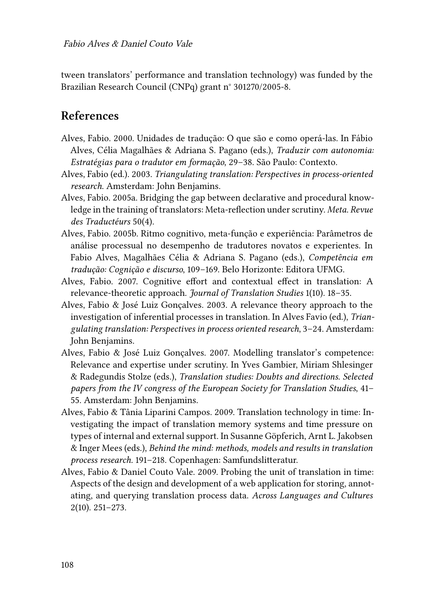tween translators' performance and translation technology) was funded by the Brazilian Research Council (CNPq) grant n° 301270/2005-8.

# **References**

- <span id="page-19-7"></span>Alves, Fabio. 2000. Unidades de tradução: O que são e como operá-las. In Fábio Alves, Célia Magalhães & Adriana S. Pagano (eds.), *Traduzir com autonomia: Estratégias para o tradutor em formação*, 29–38. São Paulo: Contexto.
- <span id="page-19-8"></span>Alves, Fabio (ed.). 2003. *Triangulating translation: Perspectives in process-oriented research*. Amsterdam: John Benjamins.
- <span id="page-19-4"></span>Alves, Fabio. 2005a. Bridging the gap between declarative and procedural knowledge in the training of translators: Meta-reflection under scrutiny. *Meta. Revue des Traductéurs* 50(4).
- <span id="page-19-5"></span>Alves, Fabio. 2005b. Ritmo cognitivo, meta-função e experiência: Parâmetros de análise processual no desempenho de tradutores novatos e experientes. In Fabio Alves, Magalhães Célia & Adriana S. Pagano (eds.), *Competência em tradução: Cognição e discurso*, 109–169. Belo Horizonte: Editora UFMG.
- <span id="page-19-0"></span>Alves, Fabio. 2007. Cognitive effort and contextual effect in translation: A relevance-theoretic approach. *Journal of Translation Studies* 1(10). 18–35.
- <span id="page-19-3"></span>Alves, Fabio & José Luiz Gonçalves. 2003. A relevance theory approach to the investigation of inferential processes in translation. In Alves Favio (ed.), *Triangulating translation: Perspectives in process oriented research*, 3–24. Amsterdam: John Benjamins.
- <span id="page-19-2"></span>Alves, Fabio & José Luiz Gonçalves. 2007. Modelling translator's competence: Relevance and expertise under scrutiny. In Yves Gambier, Miriam Shlesinger & Radegundis Stolze (eds.), *Translation studies: Doubts and directions. Selected papers from the IV congress of the European Society for Translation Studies*, 41– 55. Amsterdam: John Benjamins.
- <span id="page-19-6"></span>Alves, Fabio & Tânia Liparini Campos. 2009. Translation technology in time: Investigating the impact of translation memory systems and time pressure on types of internal and external support. In Susanne Göpferich, Arnt L. Jakobsen & Inger Mees (eds.), *Behind the mind: methods, models and results in translation process research.* 191–218. Copenhagen: Samfundslitteratur.
- <span id="page-19-1"></span>Alves, Fabio & Daniel Couto Vale. 2009. Probing the unit of translation in time: Aspects of the design and development of a web application for storing, annotating, and querying translation process data. *Across Languages and Cultures* 2(10). 251–273.